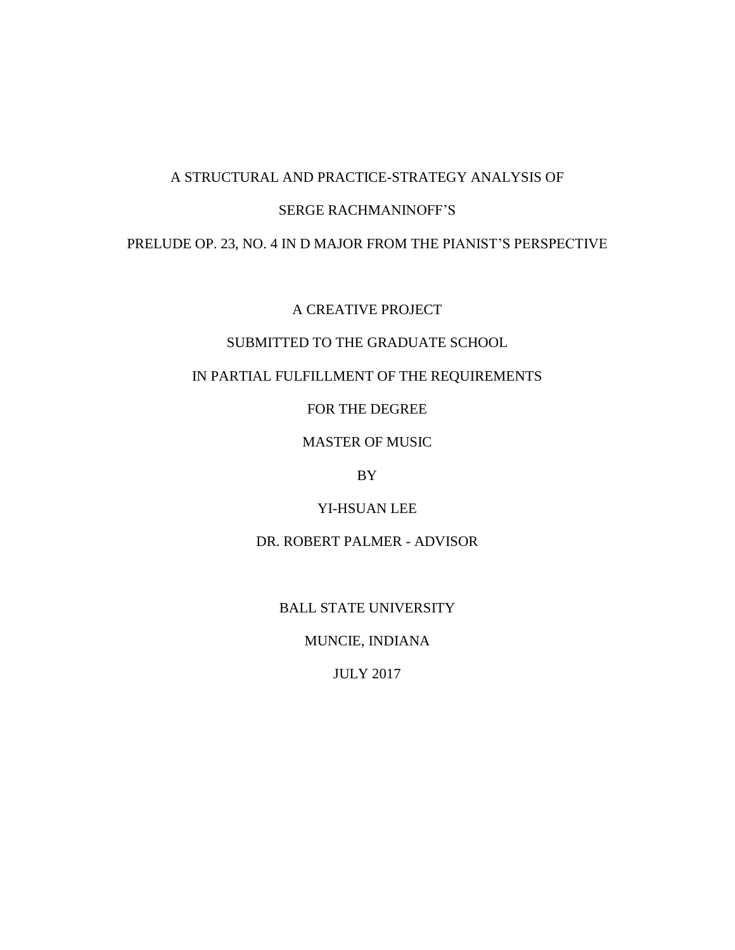# A STRUCTURAL AND PRACTICE-STRATEGY ANALYSIS OF

# SERGE RACHMANINOFF'S

### PRELUDE OP. 23, NO. 4 IN D MAJOR FROM THE PIANIST'S PERSPECTIVE

A CREATIVE PROJECT

# SUBMITTED TO THE GRADUATE SCHOOL

# IN PARTIAL FULFILLMENT OF THE REQUIREMENTS

FOR THE DEGREE

MASTER OF MUSIC

BY

YI-HSUAN LEE

DR. ROBERT PALMER - ADVISOR

BALL STATE UNIVERSITY

MUNCIE, INDIANA

JULY 2017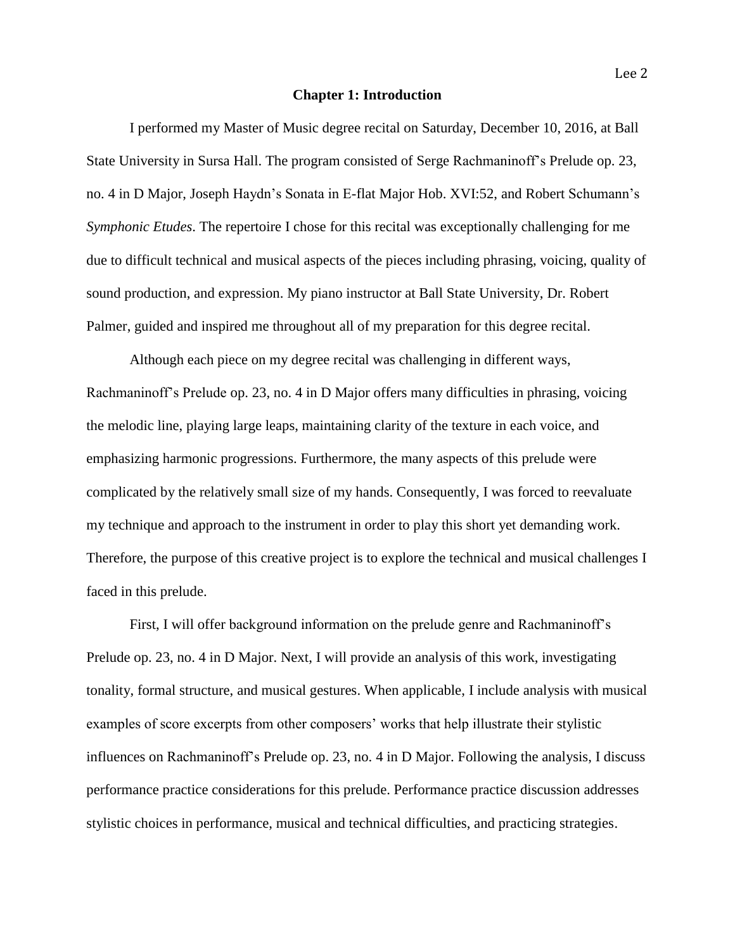#### **Chapter 1: Introduction**

I performed my Master of Music degree recital on Saturday, December 10, 2016, at Ball State University in Sursa Hall. The program consisted of Serge Rachmaninoff's Prelude op. 23, no. 4 in D Major, Joseph Haydn's Sonata in E-flat Major Hob. XVI:52, and Robert Schumann's *Symphonic Etudes*. The repertoire I chose for this recital was exceptionally challenging for me due to difficult technical and musical aspects of the pieces including phrasing, voicing, quality of sound production, and expression. My piano instructor at Ball State University, Dr. Robert Palmer, guided and inspired me throughout all of my preparation for this degree recital.

Although each piece on my degree recital was challenging in different ways, Rachmaninoff's Prelude op. 23, no. 4 in D Major offers many difficulties in phrasing, voicing the melodic line, playing large leaps, maintaining clarity of the texture in each voice, and emphasizing harmonic progressions. Furthermore, the many aspects of this prelude were complicated by the relatively small size of my hands. Consequently, I was forced to reevaluate my technique and approach to the instrument in order to play this short yet demanding work. Therefore, the purpose of this creative project is to explore the technical and musical challenges I faced in this prelude.

First, I will offer background information on the prelude genre and Rachmaninoff's Prelude op. 23, no. 4 in D Major. Next, I will provide an analysis of this work, investigating tonality, formal structure, and musical gestures. When applicable, I include analysis with musical examples of score excerpts from other composers' works that help illustrate their stylistic influences on Rachmaninoff's Prelude op. 23, no. 4 in D Major. Following the analysis, I discuss performance practice considerations for this prelude. Performance practice discussion addresses stylistic choices in performance, musical and technical difficulties, and practicing strategies.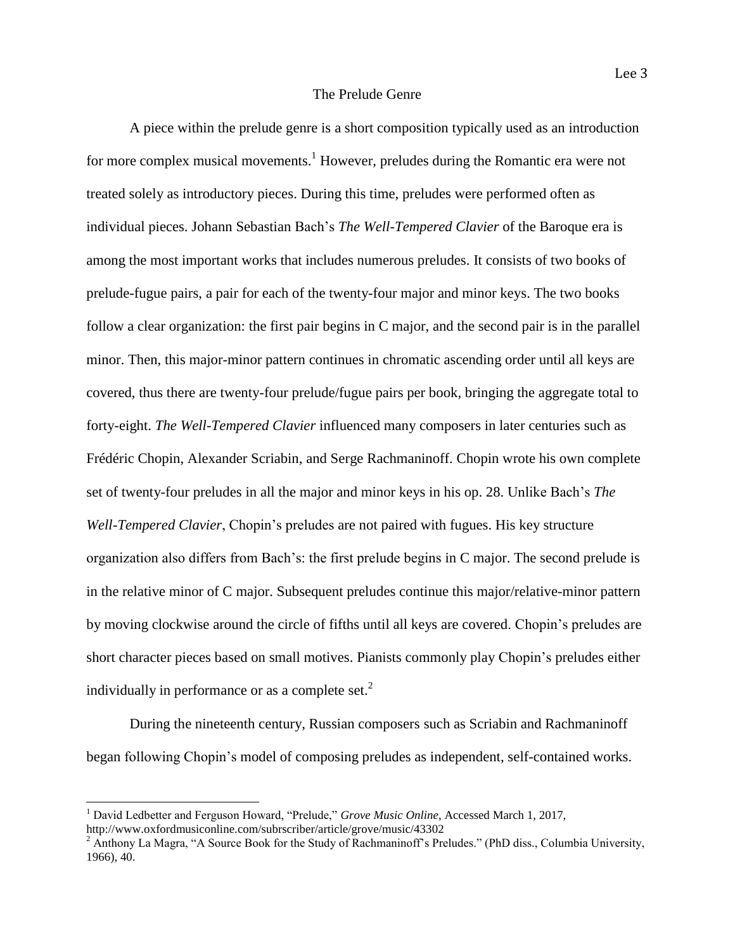A piece within the prelude genre is a short composition typically used as an introduction for more complex musical movements.<sup>1</sup> However, preludes during the Romantic era were not treated solely as introductory pieces. During this time, preludes were performed often as individual pieces. Johann Sebastian Bach's *The Well-Tempered Clavier* of the Baroque era is among the most important works that includes numerous preludes. It consists of two books of prelude-fugue pairs, a pair for each of the twenty-four major and minor keys. The two books follow a clear organization: the first pair begins in C major, and the second pair is in the parallel minor. Then, this major-minor pattern continues in chromatic ascending order until all keys are covered, thus there are twenty-four prelude/fugue pairs per book, bringing the aggregate total to forty-eight. *The Well-Tempered Clavier* influenced many composers in later centuries such as Frédéric Chopin, Alexander Scriabin, and Serge Rachmaninoff. Chopin wrote his own complete set of twenty-four preludes in all the major and minor keys in his op. 28. Unlike Bach's *The Well-Tempered Clavier*, Chopin's preludes are not paired with fugues. His key structure organization also differs from Bach's: the first prelude begins in C major. The second prelude is in the relative minor of C major. Subsequent preludes continue this major/relative-minor pattern by moving clockwise around the circle of fifths until all keys are covered. Chopin's preludes are short character pieces based on small motives. Pianists commonly play Chopin's preludes either individually in performance or as a complete set.<sup>2</sup>

During the nineteenth century, Russian composers such as Scriabin and Rachmaninoff began following Chopin's model of composing preludes as independent, self-contained works.

 $\overline{a}$ 

<sup>1</sup> David Ledbetter and Ferguson Howard, "Prelude," *Grove Music Online*, Accessed March 1, 2017, http://www.oxfordmusiconline.com/subrscriber/article/grove/music/43302

<sup>&</sup>lt;sup>2</sup> Anthony La Magra, "A Source Book for the Study of Rachmaninoff's Preludes." (PhD diss., Columbia University, 1966), 40.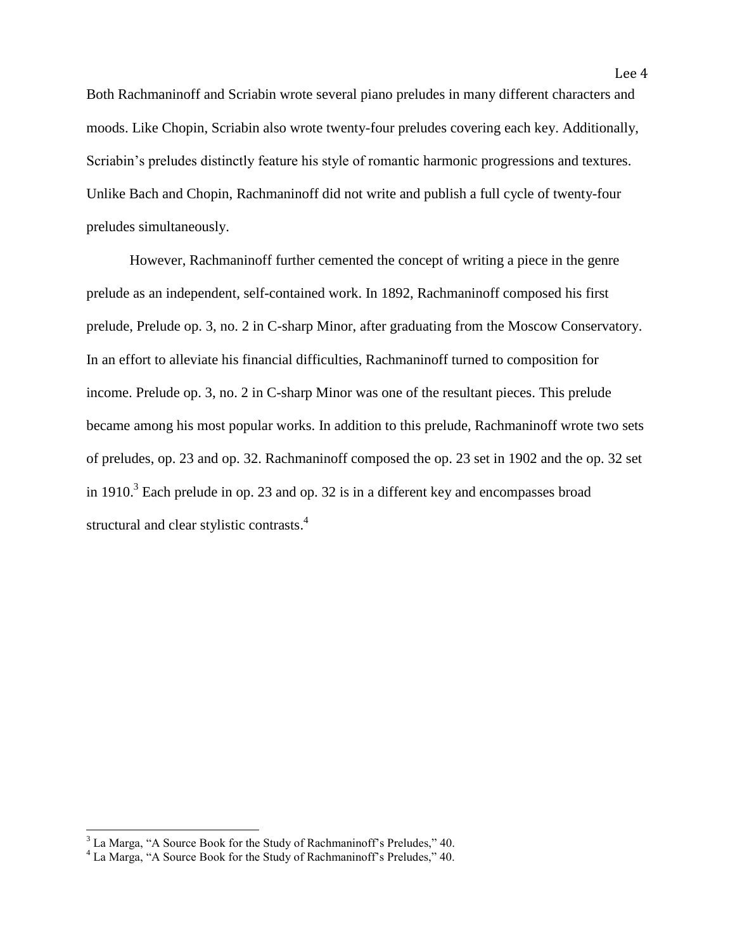Both Rachmaninoff and Scriabin wrote several piano preludes in many different characters and moods. Like Chopin, Scriabin also wrote twenty-four preludes covering each key. Additionally, Scriabin's preludes distinctly feature his style of romantic harmonic progressions and textures. Unlike Bach and Chopin, Rachmaninoff did not write and publish a full cycle of twenty-four preludes simultaneously.

However, Rachmaninoff further cemented the concept of writing a piece in the genre prelude as an independent, self-contained work. In 1892, Rachmaninoff composed his first prelude, Prelude op. 3, no. 2 in C-sharp Minor, after graduating from the Moscow Conservatory. In an effort to alleviate his financial difficulties, Rachmaninoff turned to composition for income. Prelude op. 3, no. 2 in C-sharp Minor was one of the resultant pieces. This prelude became among his most popular works. In addition to this prelude, Rachmaninoff wrote two sets of preludes, op. 23 and op. 32. Rachmaninoff composed the op. 23 set in 1902 and the op. 32 set in 1910.<sup>3</sup> Each prelude in op. 23 and op. 32 is in a different key and encompasses broad structural and clear stylistic contrasts.<sup>4</sup>

l

 $3$  La Marga, "A Source Book for the Study of Rachmaninoff's Preludes," 40.

<sup>4</sup> La Marga, "A Source Book for the Study of Rachmaninoff's Preludes," 40.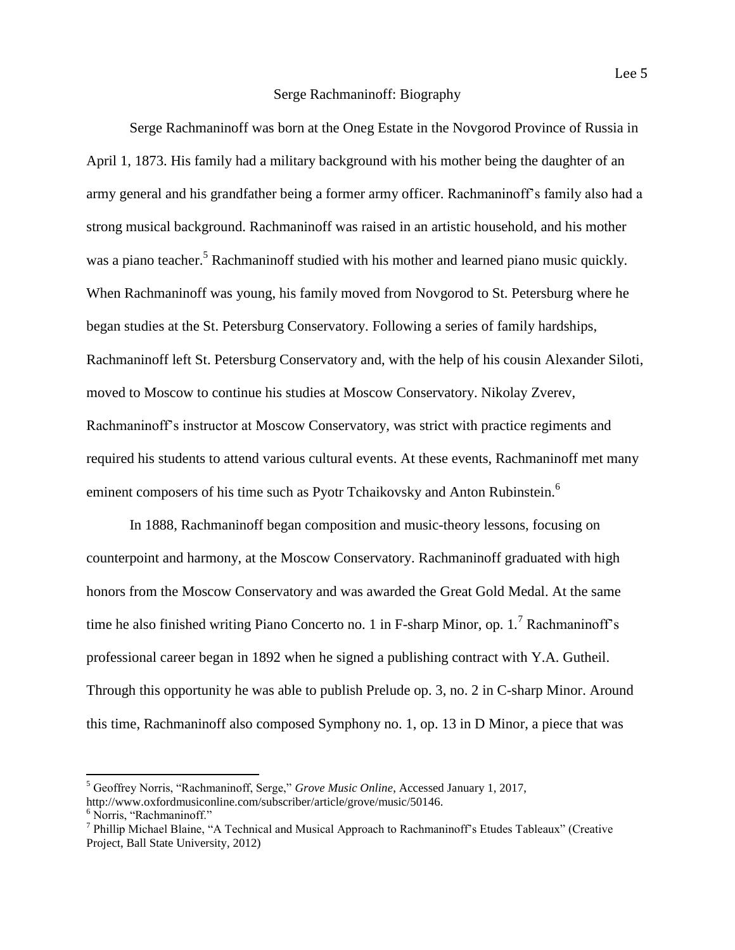### Serge Rachmaninoff: Biography

Serge Rachmaninoff was born at the Oneg Estate in the Novgorod Province of Russia in April 1, 1873. His family had a military background with his mother being the daughter of an army general and his grandfather being a former army officer. Rachmaninoff's family also had a strong musical background. Rachmaninoff was raised in an artistic household, and his mother was a piano teacher.<sup>5</sup> Rachmaninoff studied with his mother and learned piano music quickly. When Rachmaninoff was young, his family moved from Novgorod to St. Petersburg where he began studies at the St. Petersburg Conservatory. Following a series of family hardships, Rachmaninoff left St. Petersburg Conservatory and, with the help of his cousin Alexander Siloti, moved to Moscow to continue his studies at Moscow Conservatory. Nikolay Zverev, Rachmaninoff's instructor at Moscow Conservatory, was strict with practice regiments and required his students to attend various cultural events. At these events, Rachmaninoff met many eminent composers of his time such as Pyotr Tchaikovsky and Anton Rubinstein.<sup>6</sup>

In 1888, Rachmaninoff began composition and music-theory lessons, focusing on counterpoint and harmony, at the Moscow Conservatory. Rachmaninoff graduated with high honors from the Moscow Conservatory and was awarded the Great Gold Medal. At the same time he also finished writing Piano Concerto no. 1 in F-sharp Minor, op. 1*.* <sup>7</sup> Rachmaninoff's professional career began in 1892 when he signed a publishing contract with Y.A. Gutheil. Through this opportunity he was able to publish Prelude op. 3, no. 2 in C-sharp Minor. Around this time, Rachmaninoff also composed Symphony no. 1, op. 13 in D Minor, a piece that was

<sup>5</sup> Geoffrey Norris, "Rachmaninoff, Serge," *Grove Music Online*, Accessed January 1, 2017, http://www.oxfordmusiconline.com/subscriber/article/grove/music/50146.

<sup>6</sup> Norris, "Rachmaninoff."

<sup>&</sup>lt;sup>7</sup> Phillip Michael Blaine, "A Technical and Musical Approach to Rachmaninoff's Etudes Tableaux" (Creative Project, Ball State University, 2012)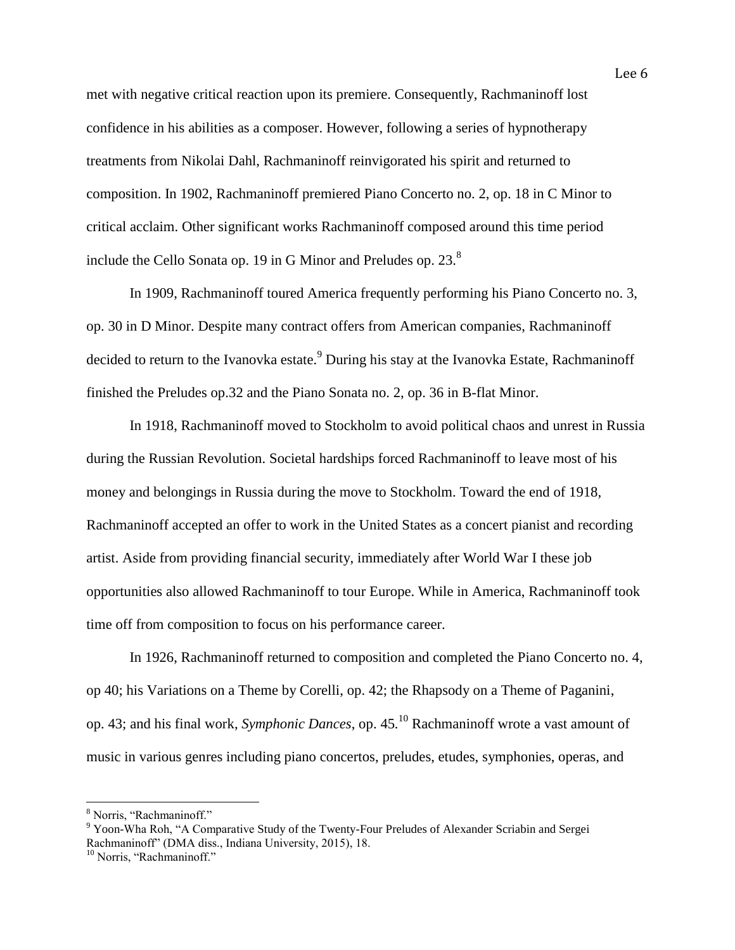met with negative critical reaction upon its premiere. Consequently, Rachmaninoff lost confidence in his abilities as a composer. However, following a series of hypnotherapy treatments from Nikolai Dahl, Rachmaninoff reinvigorated his spirit and returned to composition. In 1902, Rachmaninoff premiered Piano Concerto no. 2, op. 18 in C Minor to critical acclaim. Other significant works Rachmaninoff composed around this time period include the Cello Sonata op. 19 in G Minor and Preludes op.  $23<sup>8</sup>$ 

In 1909, Rachmaninoff toured America frequently performing his Piano Concerto no. 3, op. 30 in D Minor. Despite many contract offers from American companies, Rachmaninoff decided to return to the Ivanovka estate.<sup>9</sup> During his stay at the Ivanovka Estate, Rachmaninoff finished the Preludes op.32 and the Piano Sonata no. 2, op. 36 in B-flat Minor.

In 1918, Rachmaninoff moved to Stockholm to avoid political chaos and unrest in Russia during the Russian Revolution. Societal hardships forced Rachmaninoff to leave most of his money and belongings in Russia during the move to Stockholm. Toward the end of 1918, Rachmaninoff accepted an offer to work in the United States as a concert pianist and recording artist. Aside from providing financial security, immediately after World War I these job opportunities also allowed Rachmaninoff to tour Europe. While in America, Rachmaninoff took time off from composition to focus on his performance career.

In 1926, Rachmaninoff returned to composition and completed the Piano Concerto no. 4, op 40; his Variations on a Theme by Corelli, op. 42; the Rhapsody on a Theme of Paganini, op. 43; and his final work, *Symphonic Dances*, op. 45*.* <sup>10</sup> Rachmaninoff wrote a vast amount of music in various genres including piano concertos, preludes, etudes, symphonies, operas, and

<sup>8</sup> Norris, "Rachmaninoff."

<sup>9</sup> Yoon-Wha Roh, "A Comparative Study of the Twenty-Four Preludes of Alexander Scriabin and Sergei Rachmaninoff" (DMA diss., Indiana University, 2015), 18.

<sup>&</sup>lt;sup>10</sup> Norris, "Rachmaninoff."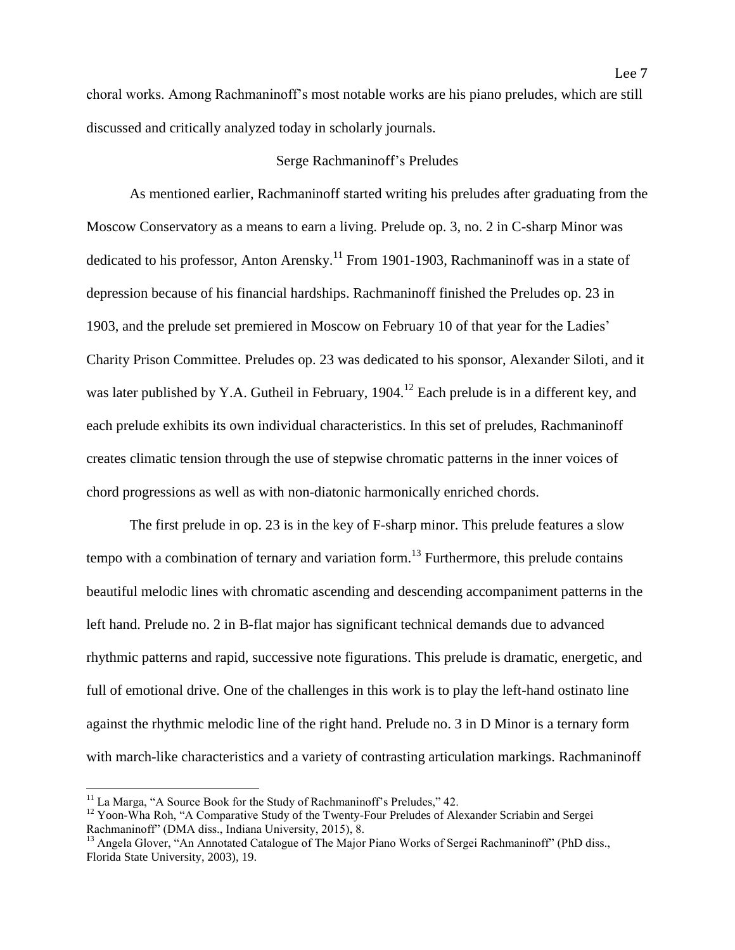choral works. Among Rachmaninoff's most notable works are his piano preludes, which are still discussed and critically analyzed today in scholarly journals.

### Serge Rachmaninoff's Preludes

As mentioned earlier, Rachmaninoff started writing his preludes after graduating from the Moscow Conservatory as a means to earn a living. Prelude op. 3, no. 2 in C-sharp Minor was dedicated to his professor, Anton Arensky.<sup>11</sup> From 1901-1903, Rachmaninoff was in a state of depression because of his financial hardships. Rachmaninoff finished the Preludes op. 23 in 1903, and the prelude set premiered in Moscow on February 10 of that year for the Ladies' Charity Prison Committee. Preludes op. 23 was dedicated to his sponsor, Alexander Siloti, and it was later published by Y.A. Gutheil in February, 1904.<sup>12</sup> Each prelude is in a different key, and each prelude exhibits its own individual characteristics. In this set of preludes, Rachmaninoff creates climatic tension through the use of stepwise chromatic patterns in the inner voices of chord progressions as well as with non-diatonic harmonically enriched chords.

The first prelude in op. 23 is in the key of F-sharp minor. This prelude features a slow tempo with a combination of ternary and variation form.<sup>13</sup> Furthermore, this prelude contains beautiful melodic lines with chromatic ascending and descending accompaniment patterns in the left hand. Prelude no. 2 in B-flat major has significant technical demands due to advanced rhythmic patterns and rapid, successive note figurations. This prelude is dramatic, energetic, and full of emotional drive. One of the challenges in this work is to play the left-hand ostinato line against the rhythmic melodic line of the right hand. Prelude no. 3 in D Minor is a ternary form with march-like characteristics and a variety of contrasting articulation markings. Rachmaninoff

<sup>&</sup>lt;sup>11</sup> La Marga, "A Source Book for the Study of Rachmaninoff's Preludes," 42.

 $12$  Yoon-Wha Roh, "A Comparative Study of the Twenty-Four Preludes of Alexander Scriabin and Sergei Rachmaninoff" (DMA diss., Indiana University, 2015), 8.

<sup>&</sup>lt;sup>13</sup> Angela Glover, "An Annotated Catalogue of The Major Piano Works of Sergei Rachmaninoff" (PhD diss., Florida State University, 2003), 19.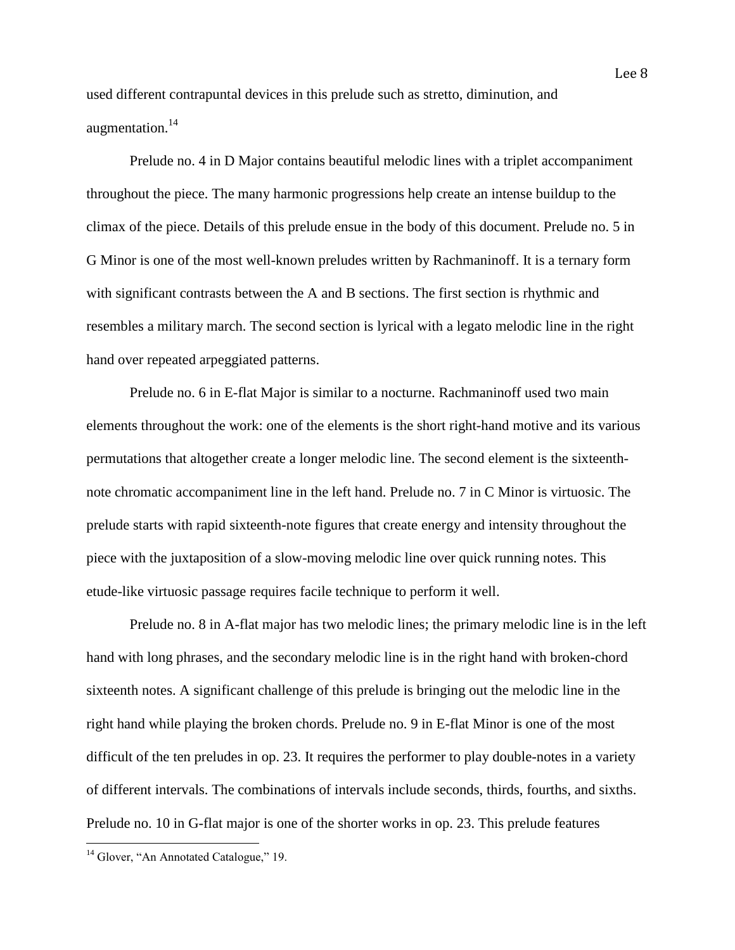used different contrapuntal devices in this prelude such as stretto, diminution, and augmentation.<sup>14</sup>

Prelude no. 4 in D Major contains beautiful melodic lines with a triplet accompaniment throughout the piece. The many harmonic progressions help create an intense buildup to the climax of the piece. Details of this prelude ensue in the body of this document. Prelude no. 5 in G Minor is one of the most well-known preludes written by Rachmaninoff. It is a ternary form with significant contrasts between the A and B sections. The first section is rhythmic and resembles a military march. The second section is lyrical with a legato melodic line in the right hand over repeated arpeggiated patterns.

Prelude no. 6 in E-flat Major is similar to a nocturne. Rachmaninoff used two main elements throughout the work: one of the elements is the short right-hand motive and its various permutations that altogether create a longer melodic line. The second element is the sixteenthnote chromatic accompaniment line in the left hand. Prelude no. 7 in C Minor is virtuosic. The prelude starts with rapid sixteenth-note figures that create energy and intensity throughout the piece with the juxtaposition of a slow-moving melodic line over quick running notes. This etude-like virtuosic passage requires facile technique to perform it well.

Prelude no. 8 in A-flat major has two melodic lines; the primary melodic line is in the left hand with long phrases, and the secondary melodic line is in the right hand with broken-chord sixteenth notes. A significant challenge of this prelude is bringing out the melodic line in the right hand while playing the broken chords. Prelude no. 9 in E-flat Minor is one of the most difficult of the ten preludes in op. 23. It requires the performer to play double-notes in a variety of different intervals. The combinations of intervals include seconds, thirds, fourths, and sixths. Prelude no. 10 in G-flat major is one of the shorter works in op. 23. This prelude features

<sup>&</sup>lt;sup>14</sup> Glover, "An Annotated Catalogue," 19.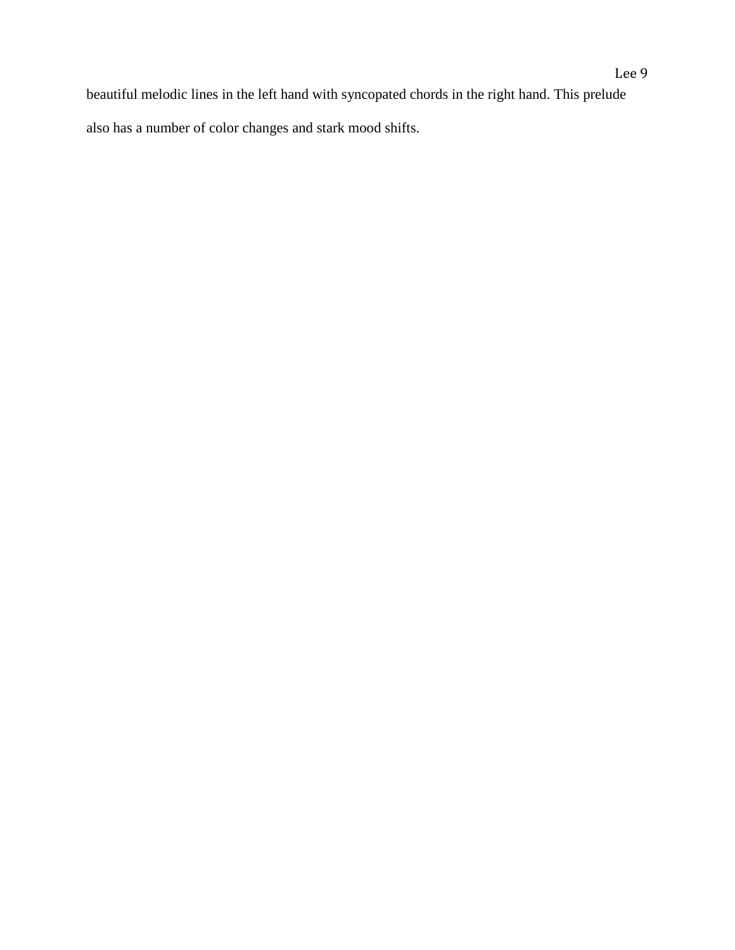beautiful melodic lines in the left hand with syncopated chords in the right hand. This prelude also has a number of color changes and stark mood shifts.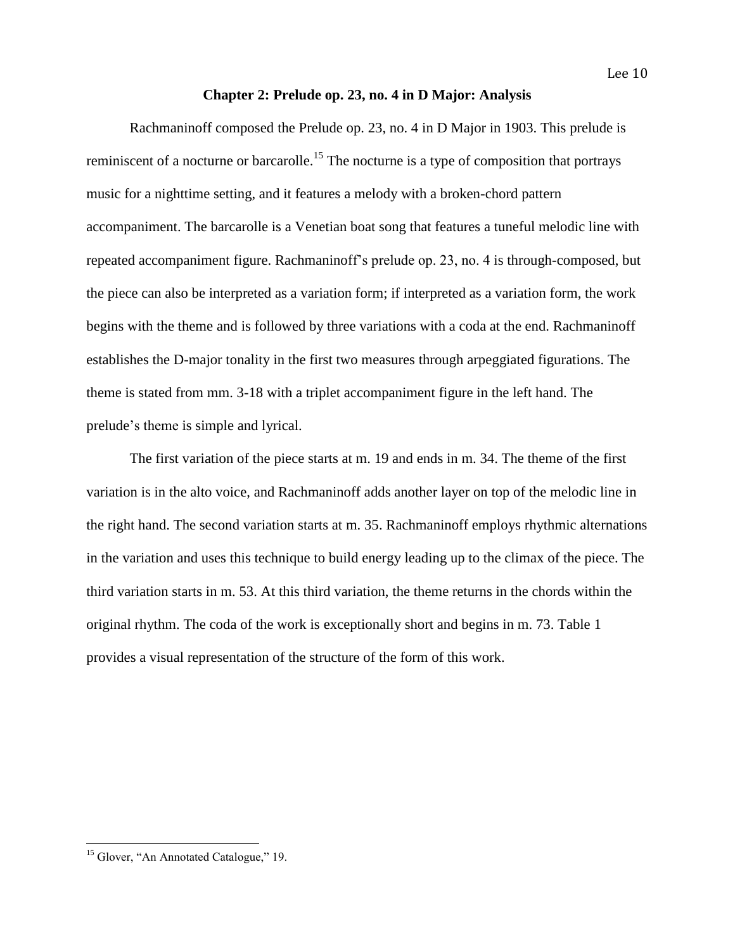### **Chapter 2: Prelude op. 23, no. 4 in D Major: Analysis**

Rachmaninoff composed the Prelude op. 23, no. 4 in D Major in 1903. This prelude is reminiscent of a nocturne or barcarolle.<sup>15</sup> The nocturne is a type of composition that portrays music for a nighttime setting, and it features a melody with a broken-chord pattern accompaniment. The barcarolle is a Venetian boat song that features a tuneful melodic line with repeated accompaniment figure. Rachmaninoff's prelude op. 23, no. 4 is through-composed, but the piece can also be interpreted as a variation form; if interpreted as a variation form, the work begins with the theme and is followed by three variations with a coda at the end. Rachmaninoff establishes the D-major tonality in the first two measures through arpeggiated figurations. The theme is stated from mm. 3-18 with a triplet accompaniment figure in the left hand. The prelude's theme is simple and lyrical.

The first variation of the piece starts at m. 19 and ends in m. 34. The theme of the first variation is in the alto voice, and Rachmaninoff adds another layer on top of the melodic line in the right hand. The second variation starts at m. 35. Rachmaninoff employs rhythmic alternations in the variation and uses this technique to build energy leading up to the climax of the piece. The third variation starts in m. 53. At this third variation, the theme returns in the chords within the original rhythm. The coda of the work is exceptionally short and begins in m. 73. Table 1 provides a visual representation of the structure of the form of this work.

<sup>&</sup>lt;sup>15</sup> Glover, "An Annotated Catalogue," 19.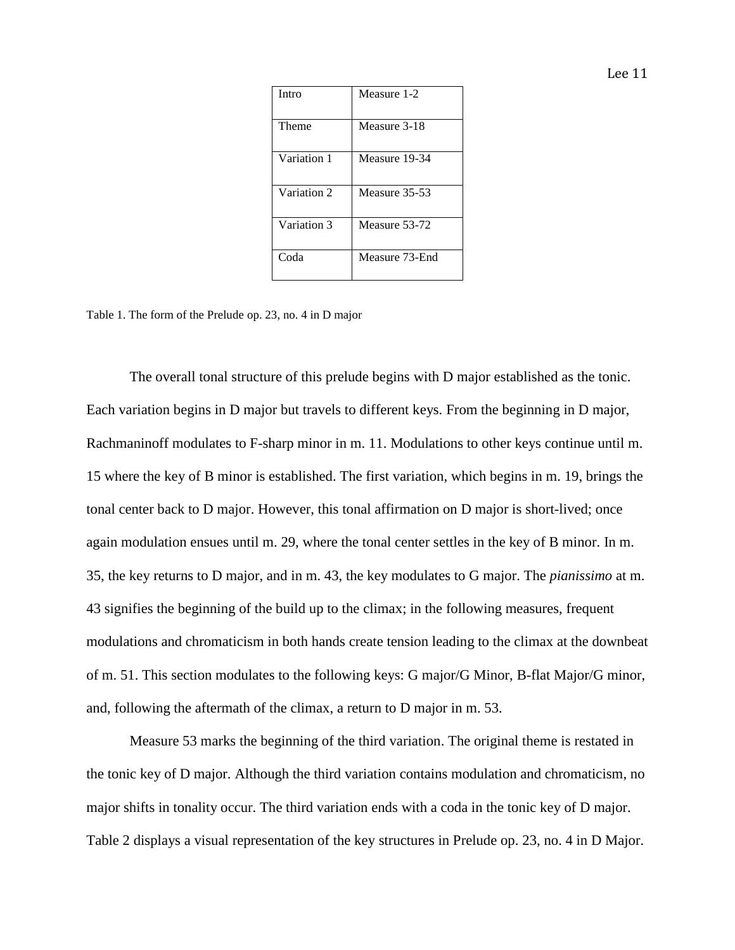| × |  |
|---|--|
|   |  |

| Intro       | Measure 1-2    |
|-------------|----------------|
| Theme       | Measure 3-18   |
| Variation 1 | Measure 19-34  |
| Variation 2 | Measure 35-53  |
| Variation 3 | Measure 53-72  |
| Coda        | Measure 73-End |

Table 1. The form of the Prelude op. 23, no. 4 in D major

The overall tonal structure of this prelude begins with D major established as the tonic. Each variation begins in D major but travels to different keys. From the beginning in D major, Rachmaninoff modulates to F-sharp minor in m. 11. Modulations to other keys continue until m. 15 where the key of B minor is established. The first variation, which begins in m. 19, brings the tonal center back to D major. However, this tonal affirmation on D major is short-lived; once again modulation ensues until m. 29, where the tonal center settles in the key of B minor. In m. 35, the key returns to D major, and in m. 43, the key modulates to G major. The *pianissimo* at m. 43 signifies the beginning of the build up to the climax; in the following measures, frequent modulations and chromaticism in both hands create tension leading to the climax at the downbeat of m. 51. This section modulates to the following keys: G major/G Minor, B-flat Major/G minor, and, following the aftermath of the climax, a return to D major in m. 53.

Measure 53 marks the beginning of the third variation. The original theme is restated in the tonic key of D major. Although the third variation contains modulation and chromaticism, no major shifts in tonality occur. The third variation ends with a coda in the tonic key of D major. Table 2 displays a visual representation of the key structures in Prelude op. 23, no. 4 in D Major.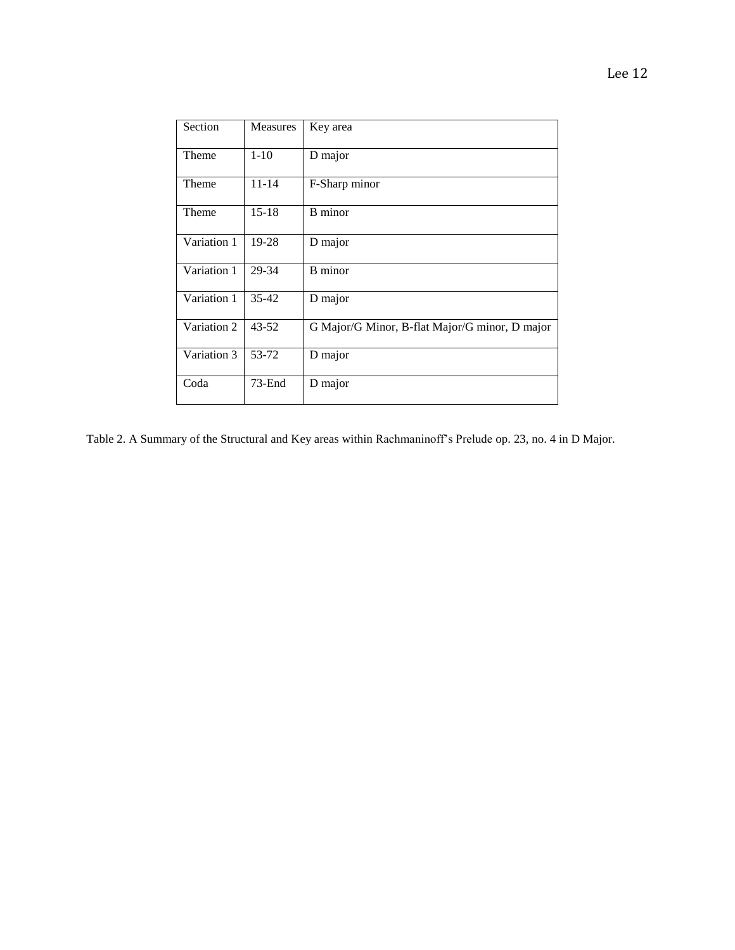| Section     | <b>Measures</b> | Key area                                       |
|-------------|-----------------|------------------------------------------------|
| Theme       | $1 - 10$        | D major                                        |
| Theme       | $11 - 14$       | F-Sharp minor                                  |
| Theme       | $15 - 18$       | B minor                                        |
| Variation 1 | 19-28           | D major                                        |
| Variation 1 | 29-34           | <b>B</b> minor                                 |
| Variation 1 | $35 - 42$       | D major                                        |
| Variation 2 | $43 - 52$       | G Major/G Minor, B-flat Major/G minor, D major |
| Variation 3 | 53-72           | D major                                        |
| Coda        | $73$ -End       | D major                                        |

Table 2. A Summary of the Structural and Key areas within Rachmaninoff's Prelude op. 23, no. 4 in D Major.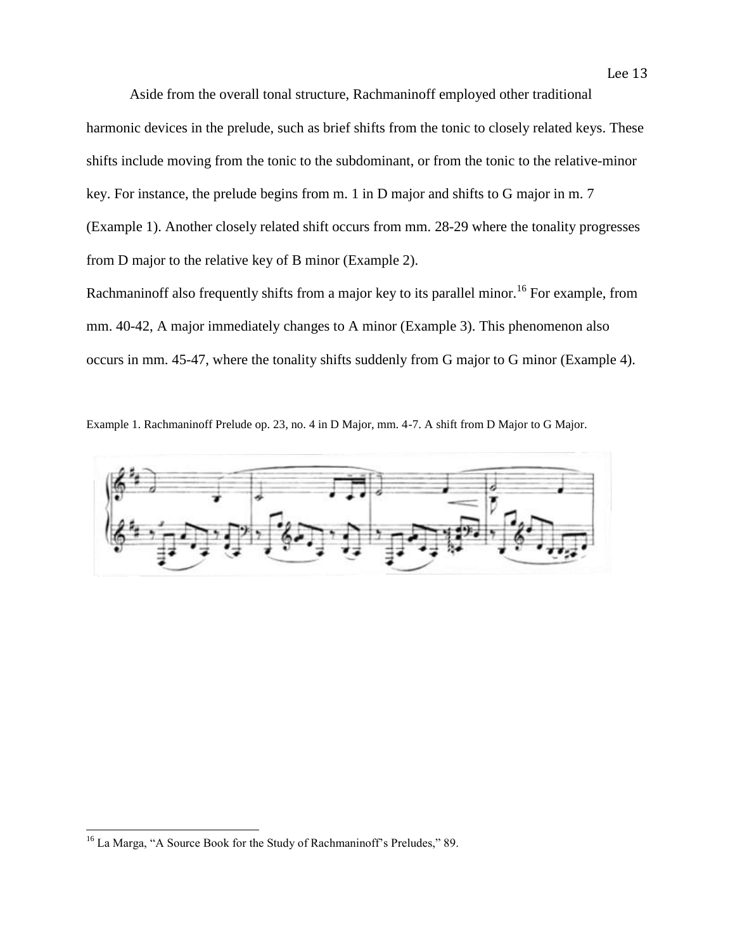Aside from the overall tonal structure, Rachmaninoff employed other traditional harmonic devices in the prelude, such as brief shifts from the tonic to closely related keys. These shifts include moving from the tonic to the subdominant, or from the tonic to the relative-minor key. For instance, the prelude begins from m. 1 in D major and shifts to G major in m. 7 (Example 1). Another closely related shift occurs from mm. 28-29 where the tonality progresses from D major to the relative key of B minor (Example 2).

Lee 13

Rachmaninoff also frequently shifts from a major key to its parallel minor.<sup>16</sup> For example, from mm. 40-42, A major immediately changes to A minor (Example 3). This phenomenon also occurs in mm. 45-47, where the tonality shifts suddenly from G major to G minor (Example 4).

Example 1. Rachmaninoff Prelude op. 23, no. 4 in D Major, mm. 4-7. A shift from D Major to G Major.



l

<sup>&</sup>lt;sup>16</sup> La Marga, "A Source Book for the Study of Rachmaninoff's Preludes," 89.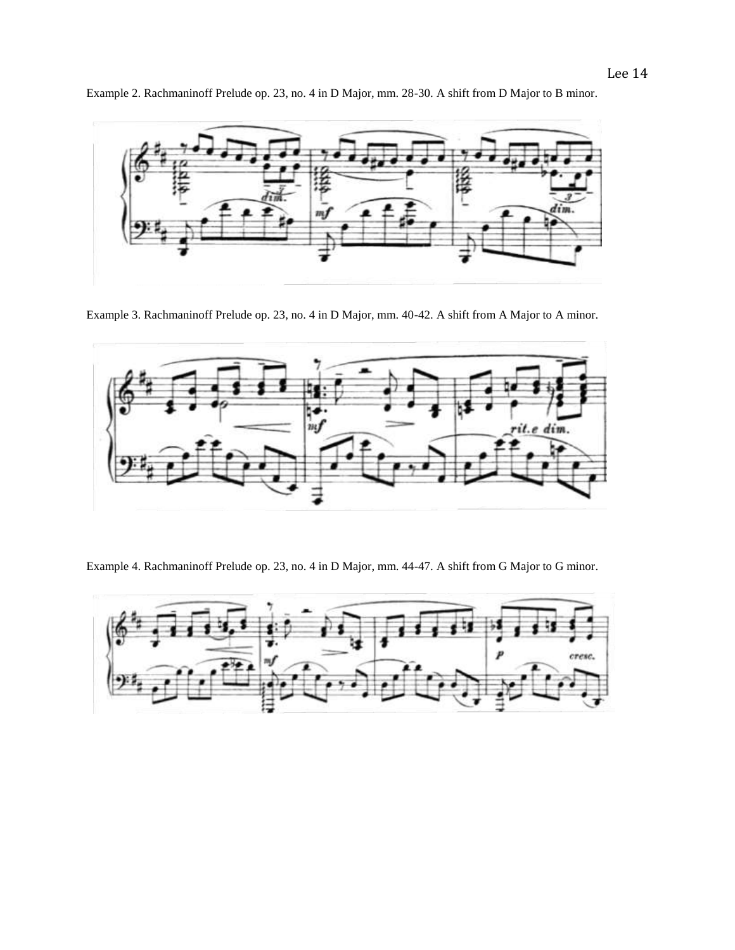

Example 2. Rachmaninoff Prelude op. 23, no. 4 in D Major, mm. 28-30. A shift from D Major to B minor.

Example 3. Rachmaninoff Prelude op. 23, no. 4 in D Major, mm. 40-42. A shift from A Major to A minor.



Example 4. Rachmaninoff Prelude op. 23, no. 4 in D Major, mm. 44-47. A shift from G Major to G minor.

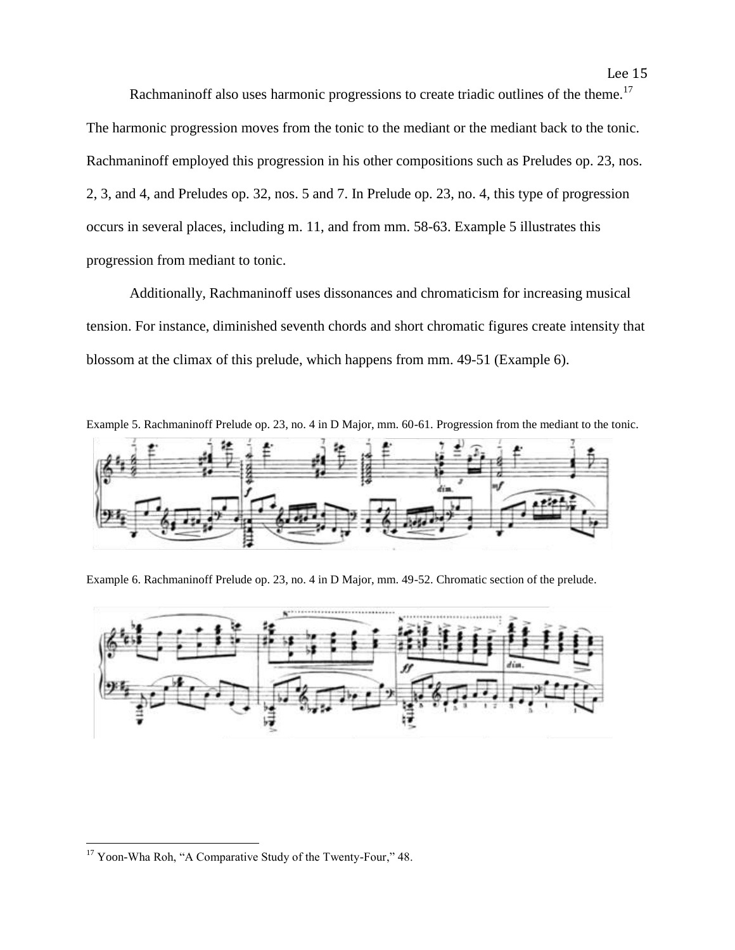Rachmaninoff also uses harmonic progressions to create triadic outlines of the theme.<sup>17</sup> The harmonic progression moves from the tonic to the mediant or the mediant back to the tonic. Rachmaninoff employed this progression in his other compositions such as Preludes op. 23, nos. 2, 3, and 4, and Preludes op. 32, nos. 5 and 7. In Prelude op. 23, no. 4, this type of progression occurs in several places, including m. 11, and from mm. 58-63. Example 5 illustrates this progression from mediant to tonic.

Additionally, Rachmaninoff uses dissonances and chromaticism for increasing musical tension. For instance, diminished seventh chords and short chromatic figures create intensity that blossom at the climax of this prelude, which happens from mm. 49-51 (Example 6).



Example 6. Rachmaninoff Prelude op. 23, no. 4 in D Major, mm. 49-52. Chromatic section of the prelude.



<sup>&</sup>lt;sup>17</sup> Yoon-Wha Roh, "A Comparative Study of the Twenty-Four," 48.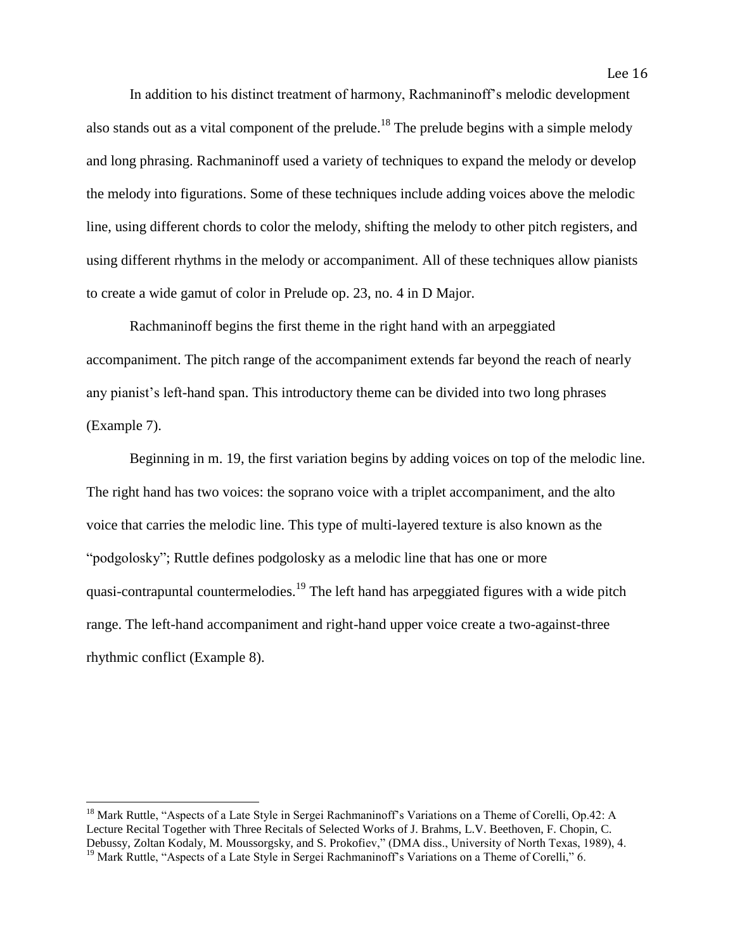In addition to his distinct treatment of harmony, Rachmaninoff's melodic development also stands out as a vital component of the prelude.<sup>18</sup> The prelude begins with a simple melody and long phrasing. Rachmaninoff used a variety of techniques to expand the melody or develop the melody into figurations. Some of these techniques include adding voices above the melodic line, using different chords to color the melody, shifting the melody to other pitch registers, and using different rhythms in the melody or accompaniment. All of these techniques allow pianists to create a wide gamut of color in Prelude op. 23, no. 4 in D Major.

Rachmaninoff begins the first theme in the right hand with an arpeggiated accompaniment. The pitch range of the accompaniment extends far beyond the reach of nearly any pianist's left-hand span. This introductory theme can be divided into two long phrases (Example 7).

Beginning in m. 19, the first variation begins by adding voices on top of the melodic line. The right hand has two voices: the soprano voice with a triplet accompaniment, and the alto voice that carries the melodic line. This type of multi-layered texture is also known as the "podgolosky"; Ruttle defines podgolosky as a melodic line that has one or more quasi-contrapuntal countermelodies.<sup>19</sup> The left hand has arpeggiated figures with a wide pitch range. The left-hand accompaniment and right-hand upper voice create a two-against-three rhythmic conflict (Example 8).

<sup>&</sup>lt;sup>18</sup> Mark Ruttle, "Aspects of a Late Style in Sergei Rachmaninoff's Variations on a Theme of Corelli, Op.42: A Lecture Recital Together with Three Recitals of Selected Works of J. Brahms, L.V. Beethoven, F. Chopin, C. Debussy, Zoltan Kodaly, M. Moussorgsky, and S. Prokofiev," (DMA diss., University of North Texas, 1989), 4. <sup>19</sup> Mark Ruttle, "Aspects of a Late Style in Sergei Rachmaninoff's Variations on a Theme of Corelli," 6.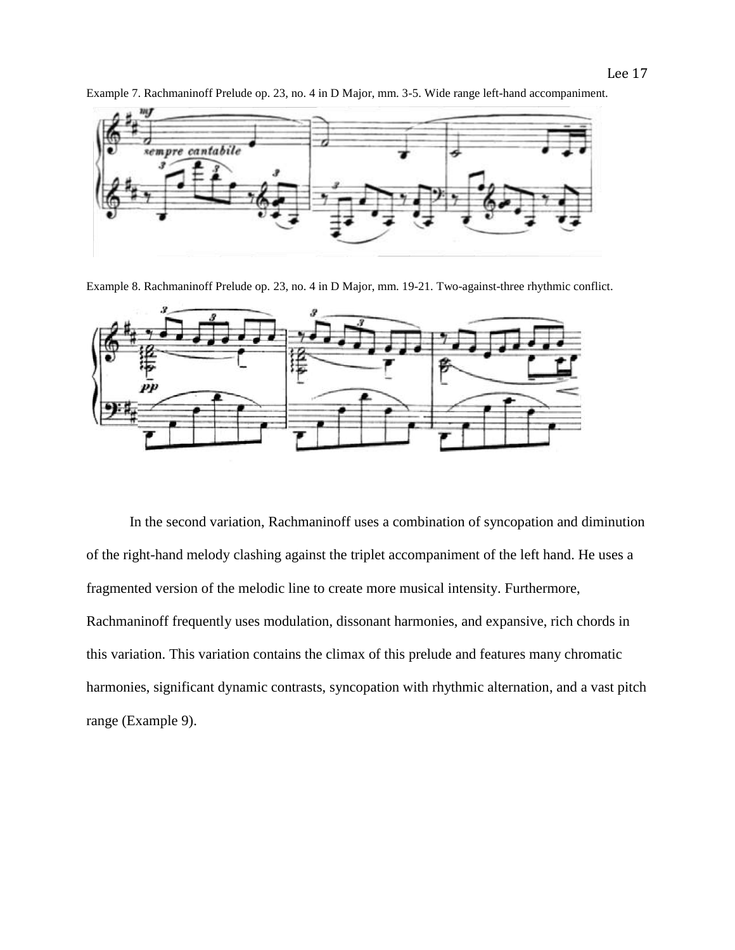

Example 7. Rachmaninoff Prelude op. 23, no. 4 in D Major, mm. 3-5. Wide range left-hand accompaniment.

Example 8. Rachmaninoff Prelude op. 23, no. 4 in D Major, mm. 19-21. Two-against-three rhythmic conflict.



In the second variation, Rachmaninoff uses a combination of syncopation and diminution of the right-hand melody clashing against the triplet accompaniment of the left hand. He uses a fragmented version of the melodic line to create more musical intensity. Furthermore, Rachmaninoff frequently uses modulation, dissonant harmonies, and expansive, rich chords in this variation. This variation contains the climax of this prelude and features many chromatic harmonies, significant dynamic contrasts, syncopation with rhythmic alternation, and a vast pitch range (Example 9).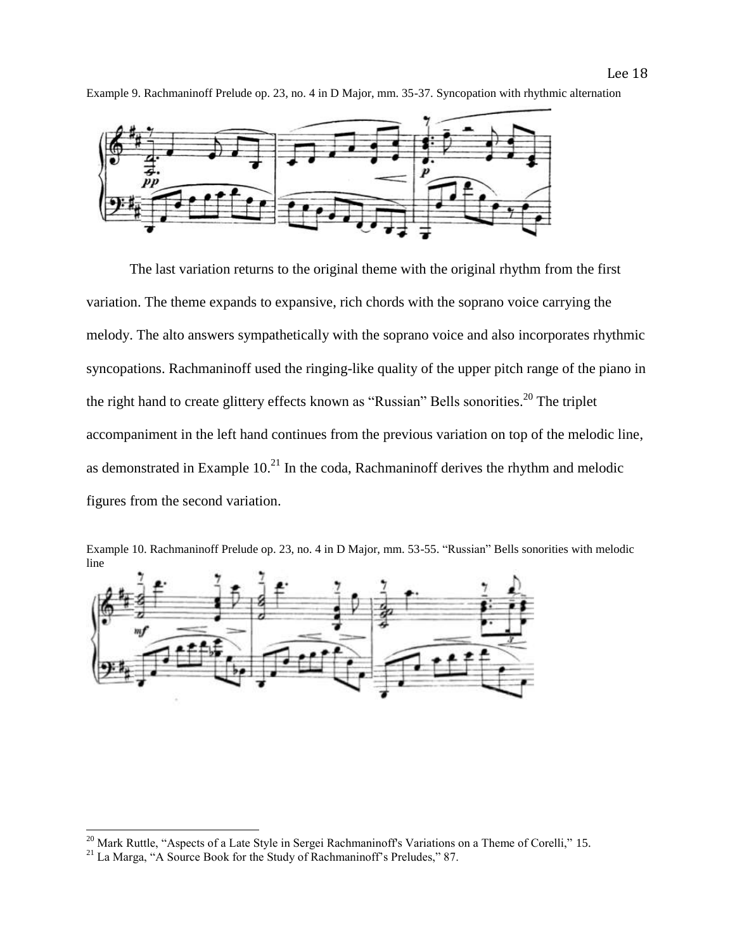

Example 9. Rachmaninoff Prelude op. 23, no. 4 in D Major, mm. 35-37. Syncopation with rhythmic alternation

The last variation returns to the original theme with the original rhythm from the first variation. The theme expands to expansive, rich chords with the soprano voice carrying the melody. The alto answers sympathetically with the soprano voice and also incorporates rhythmic syncopations. Rachmaninoff used the ringing-like quality of the upper pitch range of the piano in the right hand to create glittery effects known as "Russian" Bells sonorities.<sup>20</sup> The triplet accompaniment in the left hand continues from the previous variation on top of the melodic line, as demonstrated in Example  $10<sup>21</sup>$  In the coda, Rachmaninoff derives the rhythm and melodic figures from the second variation.





l

 $20$  Mark Ruttle, "Aspects of a Late Style in Sergei Rachmaninoff's Variations on a Theme of Corelli," 15.

<sup>&</sup>lt;sup>21</sup> La Marga, "A Source Book for the Study of Rachmaninoff's Preludes," 87.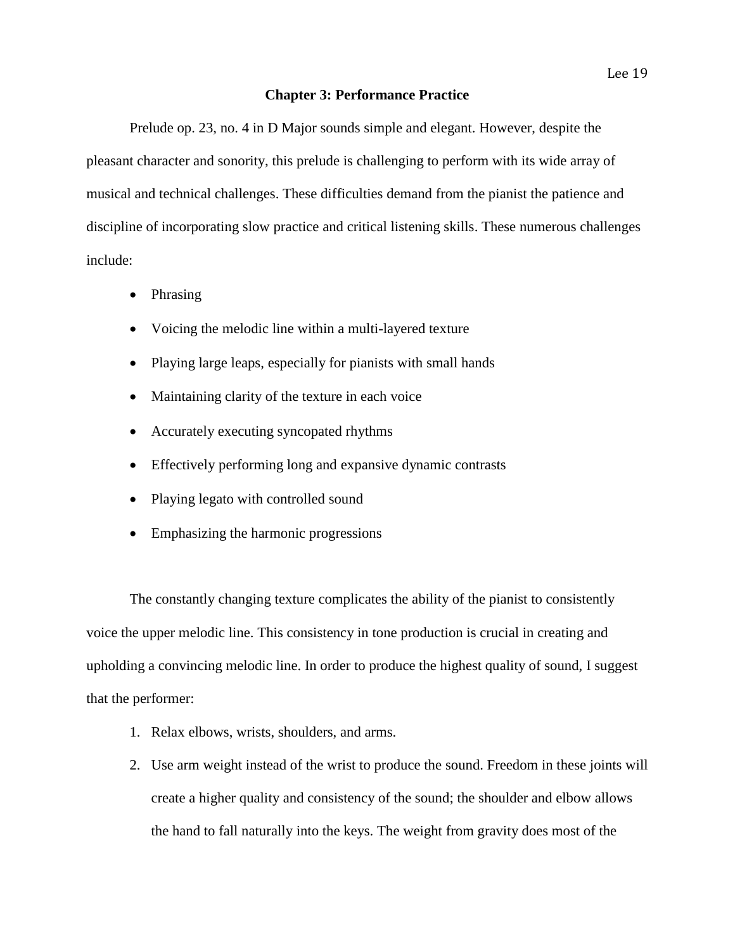#### **Chapter 3: Performance Practice**

Prelude op. 23, no. 4 in D Major sounds simple and elegant. However, despite the pleasant character and sonority, this prelude is challenging to perform with its wide array of musical and technical challenges. These difficulties demand from the pianist the patience and discipline of incorporating slow practice and critical listening skills. These numerous challenges include:

- Phrasing
- Voicing the melodic line within a multi-layered texture
- Playing large leaps, especially for pianists with small hands
- Maintaining clarity of the texture in each voice
- Accurately executing syncopated rhythms
- Effectively performing long and expansive dynamic contrasts
- Playing legato with controlled sound
- Emphasizing the harmonic progressions

The constantly changing texture complicates the ability of the pianist to consistently voice the upper melodic line. This consistency in tone production is crucial in creating and upholding a convincing melodic line. In order to produce the highest quality of sound, I suggest that the performer:

- 1. Relax elbows, wrists, shoulders, and arms.
- 2. Use arm weight instead of the wrist to produce the sound. Freedom in these joints will create a higher quality and consistency of the sound; the shoulder and elbow allows the hand to fall naturally into the keys. The weight from gravity does most of the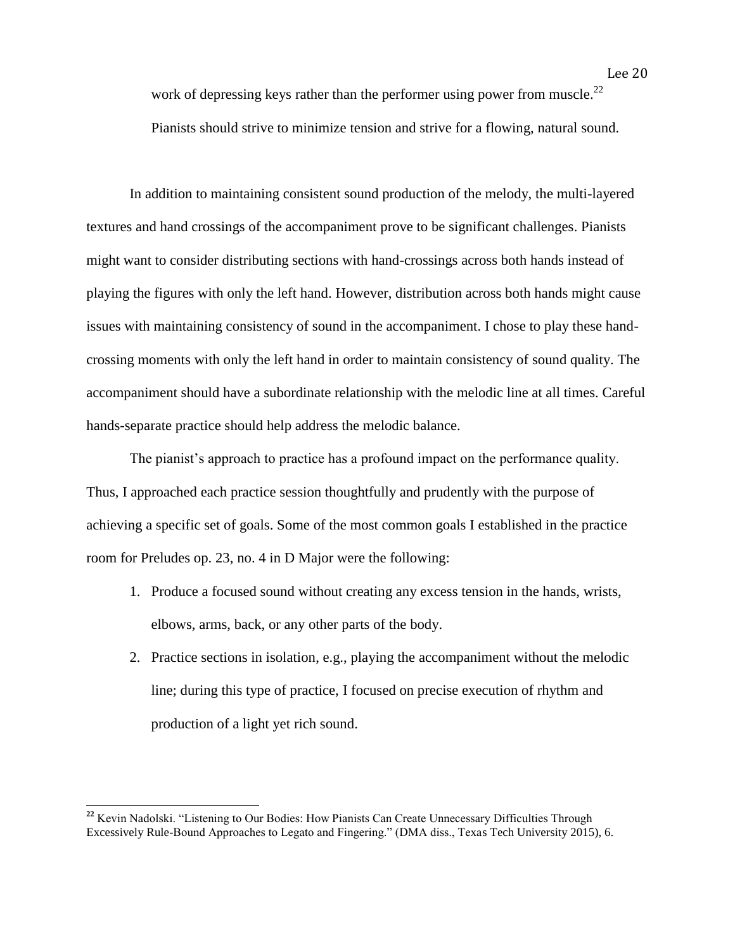work of depressing keys rather than the performer using power from muscle.<sup>22</sup> Pianists should strive to minimize tension and strive for a flowing, natural sound.

In addition to maintaining consistent sound production of the melody, the multi-layered textures and hand crossings of the accompaniment prove to be significant challenges. Pianists might want to consider distributing sections with hand-crossings across both hands instead of playing the figures with only the left hand. However, distribution across both hands might cause issues with maintaining consistency of sound in the accompaniment. I chose to play these handcrossing moments with only the left hand in order to maintain consistency of sound quality. The accompaniment should have a subordinate relationship with the melodic line at all times. Careful hands-separate practice should help address the melodic balance.

The pianist's approach to practice has a profound impact on the performance quality. Thus, I approached each practice session thoughtfully and prudently with the purpose of achieving a specific set of goals. Some of the most common goals I established in the practice room for Preludes op. 23, no. 4 in D Major were the following:

- 1. Produce a focused sound without creating any excess tension in the hands, wrists, elbows, arms, back, or any other parts of the body.
- 2. Practice sections in isolation, e.g., playing the accompaniment without the melodic line; during this type of practice, I focused on precise execution of rhythm and production of a light yet rich sound.

<sup>&</sup>lt;sup>22</sup> Kevin Nadolski. "Listening to Our Bodies: How Pianists Can Create Unnecessary Difficulties Through Excessively Rule-Bound Approaches to Legato and Fingering." (DMA diss., Texas Tech University 2015), 6.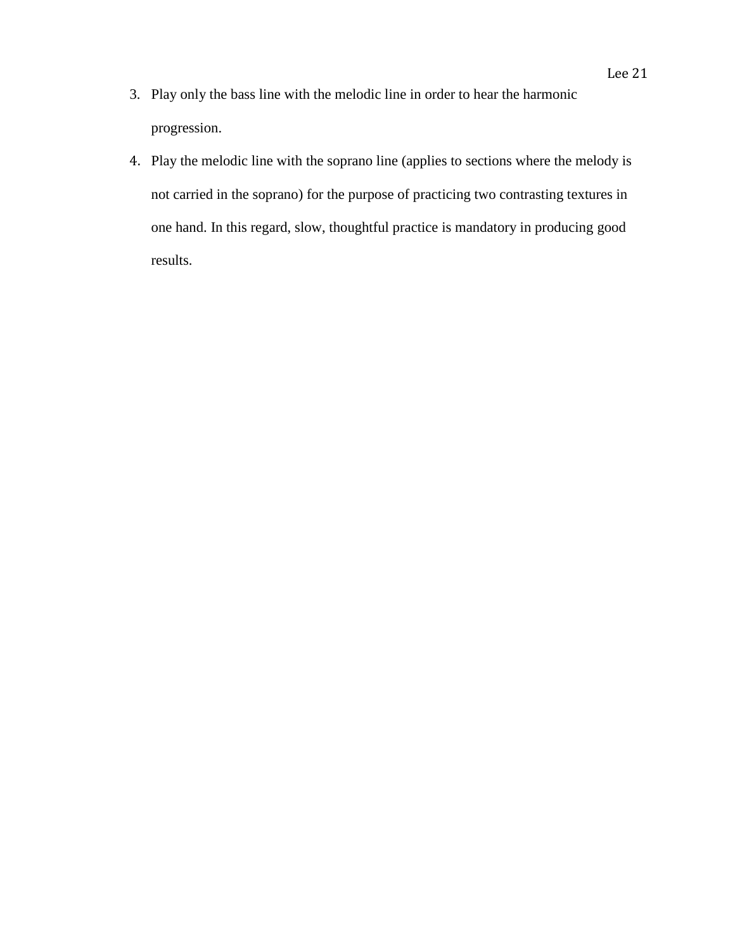- 3. Play only the bass line with the melodic line in order to hear the harmonic progression.
- 4. Play the melodic line with the soprano line (applies to sections where the melody is not carried in the soprano) for the purpose of practicing two contrasting textures in one hand. In this regard, slow, thoughtful practice is mandatory in producing good results.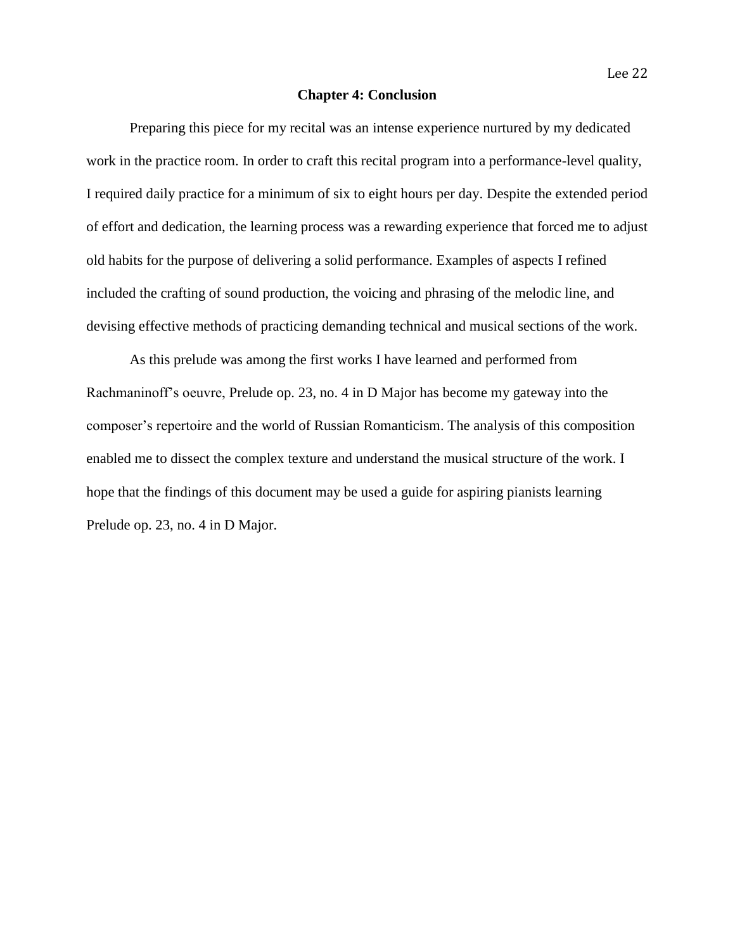### **Chapter 4: Conclusion**

Preparing this piece for my recital was an intense experience nurtured by my dedicated work in the practice room. In order to craft this recital program into a performance-level quality, I required daily practice for a minimum of six to eight hours per day. Despite the extended period of effort and dedication, the learning process was a rewarding experience that forced me to adjust old habits for the purpose of delivering a solid performance. Examples of aspects I refined included the crafting of sound production, the voicing and phrasing of the melodic line, and devising effective methods of practicing demanding technical and musical sections of the work.

As this prelude was among the first works I have learned and performed from Rachmaninoff's oeuvre, Prelude op. 23, no. 4 in D Major has become my gateway into the composer's repertoire and the world of Russian Romanticism. The analysis of this composition enabled me to dissect the complex texture and understand the musical structure of the work. I hope that the findings of this document may be used a guide for aspiring pianists learning Prelude op. 23, no. 4 in D Major.